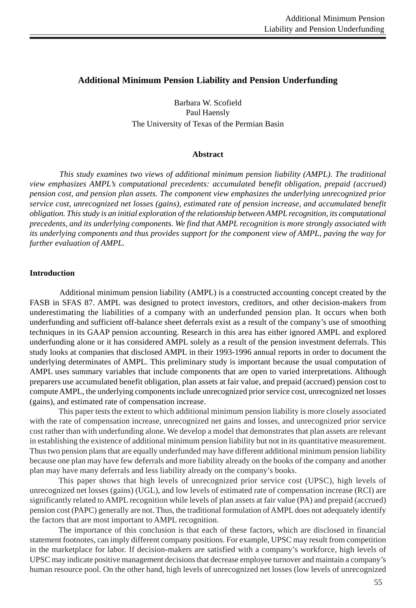# **Additional Minimum Pension Liability and Pension Underfunding**

Barbara W. Scofield Paul Haensly The University of Texas of the Permian Basin

## **Abstract**

*This study examines two views of additional minimum pension liability (AMPL). The traditional view emphasizes AMPL's computational precedents: accumulated benefit obligation, prepaid (accrued) pension cost, and pension plan assets. The component view emphasizes the underlying unrecognized prior service cost, unrecognized net losses (gains), estimated rate of pension increase, and accumulated benefit obligation. This study is an initial exploration of the relationship between AMPL recognition, its computational precedents, and its underlying components. We find that AMPL recognition is more strongly associated with its underlying components and thus provides support for the component view of AMPL, paving the way for further evaluation of AMPL.*

## **Introduction**

Additional minimum pension liability (AMPL) is a constructed accounting concept created by the FASB in SFAS 87. AMPL was designed to protect investors, creditors, and other decision-makers from underestimating the liabilities of a company with an underfunded pension plan. It occurs when both underfunding and sufficient off-balance sheet deferrals exist as a result of the company's use of smoothing techniques in its GAAP pension accounting. Research in this area has either ignored AMPL and explored underfunding alone or it has considered AMPL solely as a result of the pension investment deferrals. This study looks at companies that disclosed AMPL in their 1993-1996 annual reports in order to document the underlying determinates of AMPL. This preliminary study is important because the usual computation of AMPL uses summary variables that include components that are open to varied interpretations. Although preparers use accumulated benefit obligation, plan assets at fair value, and prepaid (accrued) pension cost to compute AMPL, the underlying components include unrecognized prior service cost, unrecognized net losses (gains), and estimated rate of compensation increase.

This paper tests the extent to which additional minimum pension liability is more closely associated with the rate of compensation increase, unrecognized net gains and losses, and unrecognized prior service cost rather than with underfunding alone. We develop a model that demonstrates that plan assets are relevant in establishing the existence of additional minimum pension liability but not in its quantitative measurement. Thus two pension plans that are equally underfunded may have different additional minimum pension liability because one plan may have few deferrals and more liability already on the books of the company and another plan may have many deferrals and less liability already on the company's books.

This paper shows that high levels of unrecognized prior service cost (UPSC), high levels of unrecognized net losses (gains) (UGL), and low levels of estimated rate of compensation increase (RCI) are significantly related to AMPL recognition while levels of plan assets at fair value (PA) and prepaid (accrued) pension cost (PAPC) generally are not. Thus, the traditional formulation of AMPL does not adequately identify the factors that are most important to AMPL recognition.

The importance of this conclusion is that each of these factors, which are disclosed in financial statement footnotes, can imply different company positions. For example, UPSC may result from competition in the marketplace for labor. If decision-makers are satisfied with a company's workforce, high levels of UPSC may indicate positive management decisions that decrease employee turnover and maintain a company's human resource pool. On the other hand, high levels of unrecognized net losses (low levels of unrecognized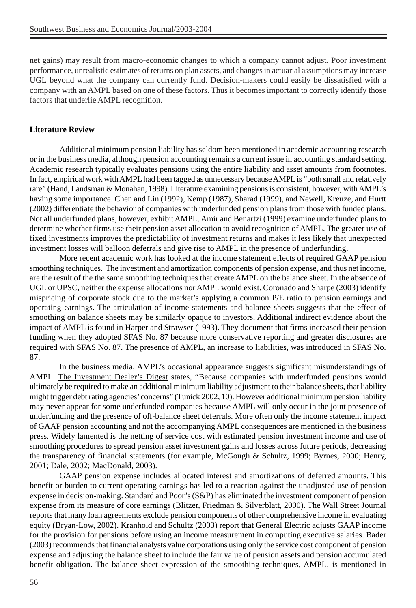net gains) may result from macro-economic changes to which a company cannot adjust. Poor investment performance, unrealistic estimates of returns on plan assets, and changes in actuarial assumptions may increase UGL beyond what the company can currently fund. Decision-makers could easily be dissatisfied with a company with an AMPL based on one of these factors. Thus it becomes important to correctly identify those factors that underlie AMPL recognition.

## **Literature Review**

Additional minimum pension liability has seldom been mentioned in academic accounting research or in the business media, although pension accounting remains a current issue in accounting standard setting. Academic research typically evaluates pensions using the entire liability and asset amounts from footnotes. In fact, empirical work with AMPL had been tagged as unnecessary because AMPL is "both small and relatively rare" (Hand, Landsman & Monahan, 1998). Literature examining pensions is consistent, however, with AMPL's having some importance. Chen and Lin (1992), Kemp (1987), Sharad (1999), and Newell, Kreuze, and Hurtt (2002) differentiate the behavior of companies with underfunded pension plans from those with funded plans. Not all underfunded plans, however, exhibit AMPL. Amir and Benartzi (1999) examine underfunded plans to determine whether firms use their pension asset allocation to avoid recognition of AMPL. The greater use of fixed investments improves the predictability of investment returns and makes it less likely that unexpected investment losses will balloon deferrals and give rise to AMPL in the presence of underfunding.

More recent academic work has looked at the income statement effects of required GAAP pension smoothing techniques. The investment and amortization components of pension expense, and thus net income, are the result of the the same smoothing techniques that create AMPL on the balance sheet. In the absence of UGL or UPSC, neither the expense allocations nor AMPL would exist. Coronado and Sharpe (2003) identify mispricing of corporate stock due to the market's applying a common P/E ratio to pension earnings and operating earnings. The articulation of income statements and balance sheets suggests that the effect of smoothing on balance sheets may be similarly opaque to investors. Additional indirect evidence about the impact of AMPL is found in Harper and Strawser (1993). They document that firms increased their pension funding when they adopted SFAS No. 87 because more conservative reporting and greater disclosures are required with SFAS No. 87. The presence of AMPL, an increase to liabilities, was introduced in SFAS No. 87.

In the business media, AMPL's occasional appearance suggests significant misunderstandings of AMPL. The Investment Dealer's Digest states, "Because companies with underfunded pensions would ultimately be required to make an additional minimum liability adjustment to their balance sheets, that liability might trigger debt rating agencies' concerns" (Tunick 2002, 10). However additional minimum pension liability may never appear for some underfunded companies because AMPL will only occur in the joint presence of underfunding and the presence of off-balance sheet deferrals. More often only the income statement impact of GAAP pension accounting and not the accompanying AMPL consequences are mentioned in the business press. Widely lamented is the netting of service cost with estimated pension investment income and use of smoothing procedures to spread pension asset investment gains and losses across future periods, decreasing the transparency of financial statements (for example, McGough & Schultz, 1999; Byrnes, 2000; Henry, 2001; Dale, 2002; MacDonald, 2003).

GAAP pension expense includes allocated interest and amortizations of deferred amounts. This benefit or burden to current operating earnings has led to a reaction against the unadjusted use of pension expense in decision-making. Standard and Poor's (S&P) has eliminated the investment component of pension expense from its measure of core earnings (Blitzer, Friedman & Silverblatt, 2000). The Wall Street Journal reports that many loan agreements exclude pension components of other comprehensive income in evaluating equity (Bryan-Low, 2002). Kranhold and Schultz (2003) report that General Electric adjusts GAAP income for the provision for pensions before using an income measurement in computing executive salaries. Bader (2003) recommends that financial analysts value corporations using only the service cost component of pension expense and adjusting the balance sheet to include the fair value of pension assets and pension accumulated benefit obligation. The balance sheet expression of the smoothing techniques, AMPL, is mentioned in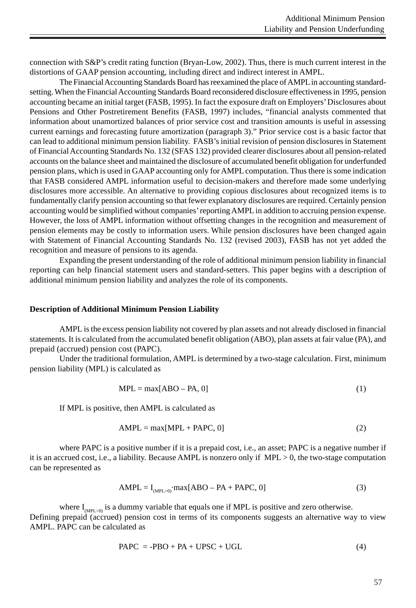connection with S&P's credit rating function (Bryan-Low, 2002). Thus, there is much current interest in the distortions of GAAP pension accounting, including direct and indirect interest in AMPL.

The Financial Accounting Standards Board has reexamined the place of AMPL in accounting standardsetting. When the Financial Accounting Standards Board reconsidered disclosure effectiveness in 1995, pension accounting became an initial target (FASB, 1995). In fact the exposure draft on Employers' Disclosures about Pensions and Other Postretirement Benefits (FASB, 1997) includes, "financial analysts commented that information about unamortized balances of prior service cost and transition amounts is useful in assessing current earnings and forecasting future amortization (paragraph 3)." Prior service cost is a basic factor that can lead to additional minimum pension liability. FASB's initial revision of pension disclosures in Statement of Financial Accounting Standards No. 132 (SFAS 132) provided clearer disclosures about all pension-related accounts on the balance sheet and maintained the disclosure of accumulated benefit obligation for underfunded pension plans, which is used in GAAP accounting only for AMPL computation. Thus there is some indication that FASB considered AMPL information useful to decision-makers and therefore made some underlying disclosures more accessible. An alternative to providing copious disclosures about recognized items is to fundamentally clarify pension accounting so that fewer explanatory disclosures are required. Certainly pension accounting would be simplified without companies' reporting AMPL in addition to accruing pension expense. However, the loss of AMPL information without offsetting changes in the recognition and measurement of pension elements may be costly to information users. While pension disclosures have been changed again with Statement of Financial Accounting Standards No. 132 (revised 2003), FASB has not yet added the recognition and measure of pensions to its agenda.

Expanding the present understanding of the role of additional minimum pension liability in financial reporting can help financial statement users and standard-setters. This paper begins with a description of additional minimum pension liability and analyzes the role of its components.

#### **Description of Additional Minimum Pension Liability**

AMPL is the excess pension liability not covered by plan assets and not already disclosed in financial statements. It is calculated from the accumulated benefit obligation (ABO), plan assets at fair value (PA), and prepaid (accrued) pension cost (PAPC).

Under the traditional formulation, AMPL is determined by a two-stage calculation. First, minimum pension liability (MPL) is calculated as

$$
MPL = max[ABO - PA, 0]
$$
 (1)

If MPL is positive, then AMPL is calculated as

$$
AMPL = max[MPL + PAPC, 0]
$$
\n(2)

where PAPC is a positive number if it is a prepaid cost, i.e., an asset; PAPC is a negative number if it is an accrued cost, i.e., a liability. Because AMPL is nonzero only if MPL > 0, the two-stage computation can be represented as

$$
AMPL = I_{(MPL>0)} \cdot max[ABO - PA + PAPC, 0]
$$
\n(3)

where  $I_{(MPL>0)}$  is a dummy variable that equals one if MPL is positive and zero otherwise. Defining prepaid (accrued) pension cost in terms of its components suggests an alternative way to view AMPL. PAPC can be calculated as

$$
PAPC = -PBO + PA + UPSC + UGL
$$
\n(4)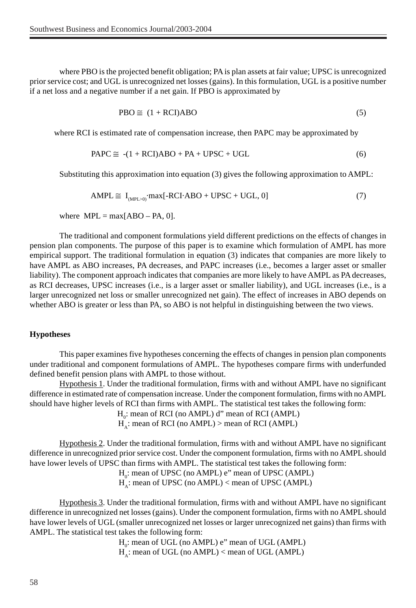where PBO is the projected benefit obligation; PA is plan assets at fair value; UPSC is unrecognized prior service cost; and UGL is unrecognized net losses (gains). In this formulation, UGL is a positive number if a net loss and a negative number if a net gain. If PBO is approximated by

$$
PBO \cong (1 + RCI)ABO \tag{5}
$$

where RCI is estimated rate of compensation increase, then PAPC may be approximated by

$$
PAPC \cong -(1 + RCI)ABO + PA + UPSC + UGL
$$
 (6)

Substituting this approximation into equation (3) gives the following approximation to AMPL:

$$
AMPL \cong I_{(MPL>0)} \cdot max[-RCI \cdot ABO + UPSC + UGL, 0]
$$
\n(7)

where  $MPL = max[ABO - PA, 0].$ 

The traditional and component formulations yield different predictions on the effects of changes in pension plan components. The purpose of this paper is to examine which formulation of AMPL has more empirical support. The traditional formulation in equation (3) indicates that companies are more likely to have AMPL as ABO increases, PA decreases, and PAPC increases (i.e., becomes a larger asset or smaller liability). The component approach indicates that companies are more likely to have AMPL as PA decreases, as RCI decreases, UPSC increases (i.e., is a larger asset or smaller liability), and UGL increases (i.e., is a larger unrecognized net loss or smaller unrecognized net gain). The effect of increases in ABO depends on whether ABO is greater or less than PA, so ABO is not helpful in distinguishing between the two views.

#### **Hypotheses**

This paper examines five hypotheses concerning the effects of changes in pension plan components under traditional and component formulations of AMPL. The hypotheses compare firms with underfunded defined benefit pension plans with AMPL to those without.

Hypothesis 1. Under the traditional formulation, firms with and without AMPL have no significant difference in estimated rate of compensation increase. Under the component formulation, firms with no AMPL should have higher levels of RCI than firms with AMPL. The statistical test takes the following form:

 $H_0$  $H_0$ : mean of RCI (no AMPL) d" mean of RCI (AMPL)

 $H_A$ : mean of RCI (no AMPL) > mean of RCI (AMPL)

Hypothesis 2. Under the traditional formulation, firms with and without AMPL have no significant difference in unrecognized prior service cost. Under the component formulation, firms with no AMPL should have lower levels of UPSC than firms with AMPL. The statistical test takes the following form:

> $H_0$ : mean of UPSC (no AMPL) e" mean of UPSC (AMPL)  $H_A$ : mean of UPSC (no AMPL) < mean of UPSC (AMPL)

Hypothesis 3. Under the traditional formulation, firms with and without AMPL have no significant difference in unrecognized net losses (gains). Under the component formulation, firms with no AMPL should have lower levels of UGL (smaller unrecognized net losses or larger unrecognized net gains) than firms with AMPL. The statistical test takes the following form:

> $H_0$ : mean of UGL (no AMPL) e" mean of UGL (AMPL)  $H_A$ : mean of UGL (no AMPL) < mean of UGL (AMPL)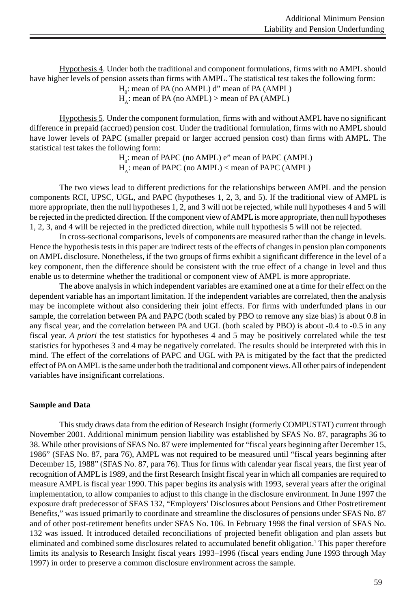Hypothesis 4. Under both the traditional and component formulations, firms with no AMPL should have higher levels of pension assets than firms with AMPL. The statistical test takes the following form:

 $H_0$ : mean of PA (no AMPL) d" mean of PA (AMPL)

 $H_{\lambda}$ : mean of PA (no AMPL) > mean of PA (AMPL)

Hypothesis 5. Under the component formulation, firms with and without AMPL have no significant difference in prepaid (accrued) pension cost. Under the traditional formulation, firms with no AMPL should have lower levels of PAPC (smaller prepaid or larger accrued pension cost) than firms with AMPL. The statistical test takes the following form:

> H<sub>0</sub>: mean of PAPC (no AMPL) e" mean of PAPC (AMPL)  $H_{\lambda}$ : mean of PAPC (no AMPL) < mean of PAPC (AMPL)

The two views lead to different predictions for the relationships between AMPL and the pension components RCI, UPSC, UGL, and PAPC (hypotheses 1, 2, 3, and 5). If the traditional view of AMPL is more appropriate, then the null hypotheses 1, 2, and 3 will not be rejected, while null hypotheses 4 and 5 will be rejected in the predicted direction. If the component view of AMPL is more appropriate, then null hypotheses 1, 2, 3, and 4 will be rejected in the predicted direction, while null hypothesis 5 will not be rejected.

In cross-sectional comparisons, levels of components are measured rather than the change in levels. Hence the hypothesis tests in this paper are indirect tests of the effects of changes in pension plan components on AMPL disclosure. Nonetheless, if the two groups of firms exhibit a significant difference in the level of a key component, then the difference should be consistent with the true effect of a change in level and thus enable us to determine whether the traditional or component view of AMPL is more appropriate.

The above analysis in which independent variables are examined one at a time for their effect on the dependent variable has an important limitation. If the independent variables are correlated, then the analysis may be incomplete without also considering their joint effects. For firms with underfunded plans in our sample, the correlation between PA and PAPC (both scaled by PBO to remove any size bias) is about 0.8 in any fiscal year, and the correlation between PA and UGL (both scaled by PBO) is about -0.4 to -0.5 in any fiscal year. *A priori* the test statistics for hypotheses 4 and 5 may be positively correlated while the test statistics for hypotheses 3 and 4 may be negatively correlated. The results should be interpreted with this in mind. The effect of the correlations of PAPC and UGL with PA is mitigated by the fact that the predicted effect of PA on AMPL is the same under both the traditional and component views. All other pairs of independent variables have insignificant correlations.

# **Sample and Data**

This study draws data from the edition of Research Insight (formerly COMPUSTAT) current through November 2001. Additional minimum pension liability was established by SFAS No. 87, paragraphs 36 to 38. While other provisions of SFAS No. 87 were implemented for "fiscal years beginning after December 15, 1986" (SFAS No. 87, para 76), AMPL was not required to be measured until "fiscal years beginning after December 15, 1988" (SFAS No. 87, para 76). Thus for firms with calendar year fiscal years, the first year of recognition of AMPL is 1989, and the first Research Insight fiscal year in which all companies are required to measure AMPL is fiscal year 1990. This paper begins its analysis with 1993, several years after the original implementation, to allow companies to adjust to this change in the disclosure environment. In June 1997 the exposure draft predecessor of SFAS 132, "Employers' Disclosures about Pensions and Other Postretirement Benefits," was issued primarily to coordinate and streamline the disclosures of pensions under SFAS No. 87 and of other post-retirement benefits under SFAS No. 106. In February 1998 the final version of SFAS No. 132 was issued. It introduced detailed reconciliations of projected benefit obligation and plan assets but eliminated and combined some disclosures related to accumulated benefit obligation.<sup>1</sup> This paper therefore limits its analysis to Research Insight fiscal years 1993–1996 (fiscal years ending June 1993 through May 1997) in order to preserve a common disclosure environment across the sample.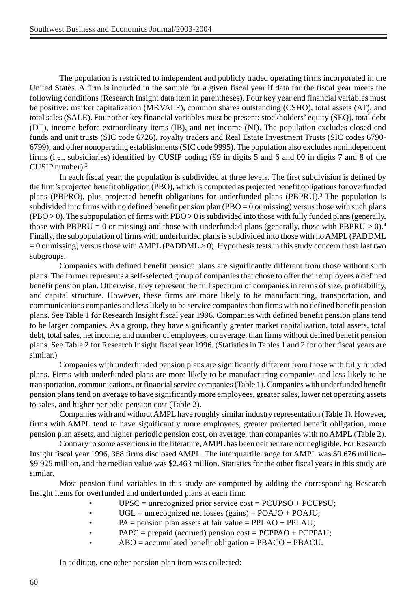The population is restricted to independent and publicly traded operating firms incorporated in the United States. A firm is included in the sample for a given fiscal year if data for the fiscal year meets the following conditions (Research Insight data item in parentheses). Four key year end financial variables must be positive: market capitalization (MKVALF), common shares outstanding (CSHO), total assets (AT), and total sales (SALE). Four other key financial variables must be present: stockholders' equity (SEQ), total debt (DT), income before extraordinary items (IB), and net income (NI). The population excludes closed-end funds and unit trusts (SIC code 6726), royalty traders and Real Estate Investment Trusts (SIC codes 6790- 6799), and other nonoperating establishments (SIC code 9995). The population also excludes nonindependent firms (i.e., subsidiaries) identified by CUSIP coding (99 in digits 5 and 6 and 00 in digits 7 and 8 of the CUSIP number).2

In each fiscal year, the population is subdivided at three levels. The first subdivision is defined by the firm's projected benefit obligation (PBO), which is computed as projected benefit obligations for overfunded plans (PBPRO), plus projected benefit obligations for underfunded plans (PBPRU).<sup>3</sup> The population is subdivided into firms with no defined benefit pension plan (PBO = 0 or missing) versus those with such plans (PBO > 0). The subpopulation of firms with PBO > 0 is subdivided into those with fully funded plans (generally, those with PBPRU = 0 or missing) and those with underfunded plans (generally, those with PBPRU > 0).<sup>4</sup> Finally, the subpopulation of firms with underfunded plans is subdivided into those with no AMPL (PADDML  $= 0$  or missing) versus those with AMPL (PADDML  $> 0$ ). Hypothesis tests in this study concern these last two subgroups.

Companies with defined benefit pension plans are significantly different from those without such plans. The former represents a self-selected group of companies that chose to offer their employees a defined benefit pension plan. Otherwise, they represent the full spectrum of companies in terms of size, profitability, and capital structure. However, these firms are more likely to be manufacturing, transportation, and communications companies and less likely to be service companies than firms with no defined benefit pension plans. See Table 1 for Research Insight fiscal year 1996. Companies with defined benefit pension plans tend to be larger companies. As a group, they have significantly greater market capitalization, total assets, total debt, total sales, net income, and number of employees, on average, than firms without defined benefit pension plans. See Table 2 for Research Insight fiscal year 1996. (Statistics in Tables 1 and 2 for other fiscal years are similar.)

Companies with underfunded pension plans are significantly different from those with fully funded plans. Firms with underfunded plans are more likely to be manufacturing companies and less likely to be transportation, communications, or financial service companies (Table 1). Companies with underfunded benefit pension plans tend on average to have significantly more employees, greater sales, lower net operating assets to sales, and higher periodic pension cost (Table 2).

Companies with and without AMPL have roughly similar industry representation (Table 1). However, firms with AMPL tend to have significantly more employees, greater projected benefit obligation, more pension plan assets, and higher periodic pension cost, on average, than companies with no AMPL (Table 2).

Contrary to some assertions in the literature, AMPL has been neither rare nor negligible. For Research Insight fiscal year 1996, 368 firms disclosed AMPL. The interquartile range for AMPL was \$0.676 million– \$9.925 million, and the median value was \$2.463 million. Statistics for the other fiscal years in this study are similar.

Most pension fund variables in this study are computed by adding the corresponding Research Insight items for overfunded and underfunded plans at each firm:

- $UPSC =$  unrecognized prior service cost =  $PCUPSO + PCUPSU$ ;
- $UGL =$  unrecognized net losses (gains) = POAJO + POAJU;
- $PA =$  pension plan assets at fair value = PPLAO + PPLAU;
- PAPC = prepaid (accrued) pension cost = PCPPAO + PCPPAU;
	- $ABO = accumulated \, \text{benefit} \, \text{obligation} = \text{PBACO} + \text{PBACU}.$

In addition, one other pension plan item was collected: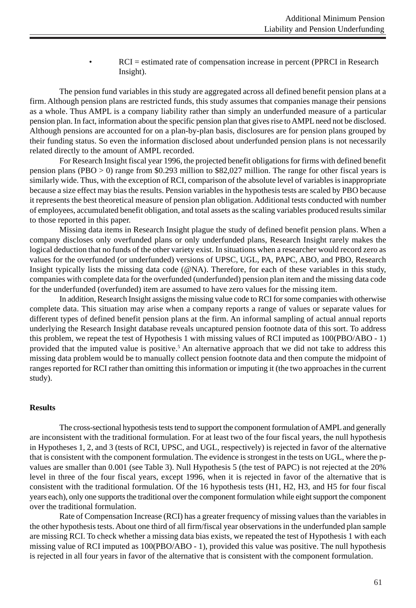• RCI = estimated rate of compensation increase in percent (PPRCI in Research Insight).

The pension fund variables in this study are aggregated across all defined benefit pension plans at a firm. Although pension plans are restricted funds, this study assumes that companies manage their pensions as a whole. Thus AMPL is a company liability rather than simply an underfunded measure of a particular pension plan. In fact, information about the specific pension plan that gives rise to AMPL need not be disclosed. Although pensions are accounted for on a plan-by-plan basis, disclosures are for pension plans grouped by their funding status. So even the information disclosed about underfunded pension plans is not necessarily related directly to the amount of AMPL recorded.

For Research Insight fiscal year 1996, the projected benefit obligations for firms with defined benefit pension plans (PBO > 0) range from \$0.293 million to \$82,027 million. The range for other fiscal years is similarly wide. Thus, with the exception of RCI, comparison of the absolute level of variables is inappropriate because a size effect may bias the results. Pension variables in the hypothesis tests are scaled by PBO because it represents the best theoretical measure of pension plan obligation. Additional tests conducted with number of employees, accumulated benefit obligation, and total assets as the scaling variables produced results similar to those reported in this paper.

Missing data items in Research Insight plague the study of defined benefit pension plans. When a company discloses only overfunded plans or only underfunded plans, Research Insight rarely makes the logical deduction that no funds of the other variety exist. In situations when a researcher would record zero as values for the overfunded (or underfunded) versions of UPSC, UGL, PA, PAPC, ABO, and PBO, Research Insight typically lists the missing data code (@NA). Therefore, for each of these variables in this study, companies with complete data for the overfunded (underfunded) pension plan item and the missing data code for the underfunded (overfunded) item are assumed to have zero values for the missing item.

In addition, Research Insight assigns the missing value code to RCI for some companies with otherwise complete data. This situation may arise when a company reports a range of values or separate values for different types of defined benefit pension plans at the firm. An informal sampling of actual annual reports underlying the Research Insight database reveals uncaptured pension footnote data of this sort. To address this problem, we repeat the test of Hypothesis 1 with missing values of RCI imputed as 100(PBO/ABO - 1) provided that the imputed value is positive.<sup>5</sup> An alternative approach that we did not take to address this missing data problem would be to manually collect pension footnote data and then compute the midpoint of ranges reported for RCI rather than omitting this information or imputing it (the two approaches in the current study).

### **Results**

The cross-sectional hypothesis tests tend to support the component formulation of AMPL and generally are inconsistent with the traditional formulation. For at least two of the four fiscal years, the null hypothesis in Hypotheses 1, 2, and 3 (tests of RCI, UPSC, and UGL, respectively) is rejected in favor of the alternative that is consistent with the component formulation. The evidence is strongest in the tests on UGL, where the pvalues are smaller than 0.001 (see Table 3). Null Hypothesis 5 (the test of PAPC) is not rejected at the 20% level in three of the four fiscal years, except 1996, when it is rejected in favor of the alternative that is consistent with the traditional formulation. Of the 16 hypothesis tests (H1, H2, H3, and H5 for four fiscal years each), only one supports the traditional over the component formulation while eight support the component over the traditional formulation.

Rate of Compensation Increase (RCI) has a greater frequency of missing values than the variables in the other hypothesis tests. About one third of all firm/fiscal year observations in the underfunded plan sample are missing RCI. To check whether a missing data bias exists, we repeated the test of Hypothesis 1 with each missing value of RCI imputed as 100(PBO/ABO - 1), provided this value was positive. The null hypothesis is rejected in all four years in favor of the alternative that is consistent with the component formulation.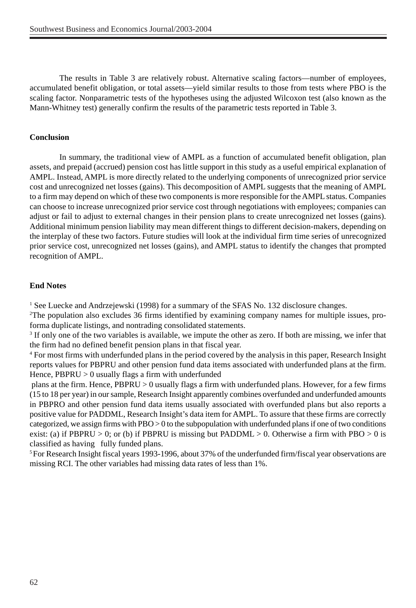The results in Table 3 are relatively robust. Alternative scaling factors—number of employees, accumulated benefit obligation, or total assets—yield similar results to those from tests where PBO is the scaling factor. Nonparametric tests of the hypotheses using the adjusted Wilcoxon test (also known as the Mann-Whitney test) generally confirm the results of the parametric tests reported in Table 3.

## **Conclusion**

In summary, the traditional view of AMPL as a function of accumulated benefit obligation, plan assets, and prepaid (accrued) pension cost has little support in this study as a useful empirical explanation of AMPL. Instead, AMPL is more directly related to the underlying components of unrecognized prior service cost and unrecognized net losses (gains). This decomposition of AMPL suggests that the meaning of AMPL to a firm may depend on which of these two components is more responsible for the AMPL status. Companies can choose to increase unrecognized prior service cost through negotiations with employees; companies can adjust or fail to adjust to external changes in their pension plans to create unrecognized net losses (gains). Additional minimum pension liability may mean different things to different decision-makers, depending on the interplay of these two factors. Future studies will look at the individual firm time series of unrecognized prior service cost, unrecognized net losses (gains), and AMPL status to identify the changes that prompted recognition of AMPL.

## **End Notes**

<sup>1</sup> See Luecke and Andrzejewski (1998) for a summary of the SFAS No. 132 disclosure changes.

2 The population also excludes 36 firms identified by examining company names for multiple issues, proforma duplicate listings, and nontrading consolidated statements.

<sup>3</sup> If only one of the two variables is available, we impute the other as zero. If both are missing, we infer that the firm had no defined benefit pension plans in that fiscal year.

4 For most firms with underfunded plans in the period covered by the analysis in this paper, Research Insight reports values for PBPRU and other pension fund data items associated with underfunded plans at the firm. Hence, PBPRU > 0 usually flags a firm with underfunded

 plans at the firm. Hence, PBPRU > 0 usually flags a firm with underfunded plans. However, for a few firms (15 to 18 per year) in our sample, Research Insight apparently combines overfunded and underfunded amounts in PBPRO and other pension fund data items usually associated with overfunded plans but also reports a positive value for PADDML, Research Insight's data item for AMPL. To assure that these firms are correctly categorized, we assign firms with  $PBO > 0$  to the subpopulation with underfunded plans if one of two conditions exist: (a) if PBPRU > 0; or (b) if PBPRU is missing but PADDML > 0. Otherwise a firm with PBO > 0 is classified as having fully funded plans.

5 For Research Insight fiscal years 1993-1996, about 37% of the underfunded firm/fiscal year observations are missing RCI. The other variables had missing data rates of less than 1%.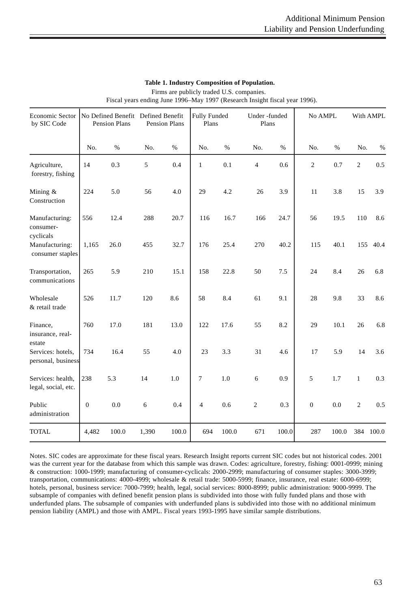| Economic Sector<br>by SIC Code           | No Defined Benefit Defined Benefit<br>Pension Plans |       | <b>Pension Plans</b> |       | Fully Funded<br>Plans |       | Under-funded<br>Plans    |       | No AMPL        |       | With AMPL      |           |
|------------------------------------------|-----------------------------------------------------|-------|----------------------|-------|-----------------------|-------|--------------------------|-------|----------------|-------|----------------|-----------|
|                                          | No.                                                 | $\%$  | No.                  | $\%$  | No.                   | $\%$  | No.                      | $\%$  | No.            | $\%$  | No.            | $\%$      |
| Agriculture,<br>forestry, fishing        | 14                                                  | 0.3   | 5                    | 0.4   | $\mathbf{1}$          | 0.1   | $\overline{\mathcal{L}}$ | 0.6   | $\overline{c}$ | 0.7   | $\overline{2}$ | 0.5       |
| Mining &<br>Construction                 | 224                                                 | 5.0   | 56                   | 4.0   | 29                    | 4.2   | 26                       | 3.9   | 11             | 3.8   | 15             | 3.9       |
| Manufacturing:<br>consumer-<br>cyclicals | 556                                                 | 12.4  | 288                  | 20.7  | 116                   | 16.7  | 166                      | 24.7  | 56             | 19.5  | 110            | 8.6       |
| Manufacturing:<br>consumer staples       | 1,165                                               | 26.0  | 455                  | 32.7  | 176                   | 25.4  | 270                      | 40.2  | 115            | 40.1  | 155            | 40.4      |
| Transportation,<br>communications        | 265                                                 | 5.9   | 210                  | 15.1  | 158                   | 22.8  | 50                       | 7.5   | 24             | 8.4   | 26             | 6.8       |
| Wholesale<br>& retail trade              | 526                                                 | 11.7  | 120                  | 8.6   | 58                    | 8.4   | 61                       | 9.1   | 28             | 9.8   | 33             | 8.6       |
| Finance,<br>insurance, real-<br>estate   | 760                                                 | 17.0  | 181                  | 13.0  | 122                   | 17.6  | 55                       | 8.2   | 29             | 10.1  | 26             | 6.8       |
| Services: hotels,<br>personal, business  | 734                                                 | 16.4  | 55                   | 4.0   | 23                    | 3.3   | 31                       | 4.6   | 17             | 5.9   | 14             | 3.6       |
| Services: health,<br>legal, social, etc. | 238                                                 | 5.3   | 14                   | 1.0   | 7                     | 1.0   | 6                        | 0.9   | 5              | 1.7   | $\mathbf{1}$   | 0.3       |
| Public<br>administration                 | $\overline{0}$                                      | 0.0   | 6                    | 0.4   | $\overline{4}$        | 0.6   | $\overline{c}$           | 0.3   | $\overline{0}$ | 0.0   | $\overline{2}$ | 0.5       |
| <b>TOTAL</b>                             | 4,482                                               | 100.0 | 1,390                | 100.0 | 694                   | 100.0 | 671                      | 100.0 | 287            | 100.0 |                | 384 100.0 |

# **Table 1. Industry Composition of Population.**

 Firms are publicly traded U.S. companies. Fiscal years ending June 1996–May 1997 (Research Insight fiscal year 1996).

Notes. SIC codes are approximate for these fiscal years. Research Insight reports current SIC codes but not historical codes. 2001 was the current year for the database from which this sample was drawn. Codes: agriculture, forestry, fishing: 0001-0999; mining & construction: 1000-1999; manufacturing of consumer-cyclicals: 2000-2999; manufacturing of consumer staples: 3000-3999; transportation, communications: 4000-4999; wholesale & retail trade: 5000-5999; finance, insurance, real estate: 6000-6999; hotels, personal, business service: 7000-7999; health, legal, social services: 8000-8999; public administration: 9000-9999. The subsample of companies with defined benefit pension plans is subdivided into those with fully funded plans and those with underfunded plans. The subsample of companies with underfunded plans is subdivided into those with no additional minimum pension liability (AMPL) and those with AMPL. Fiscal years 1993-1995 have similar sample distributions.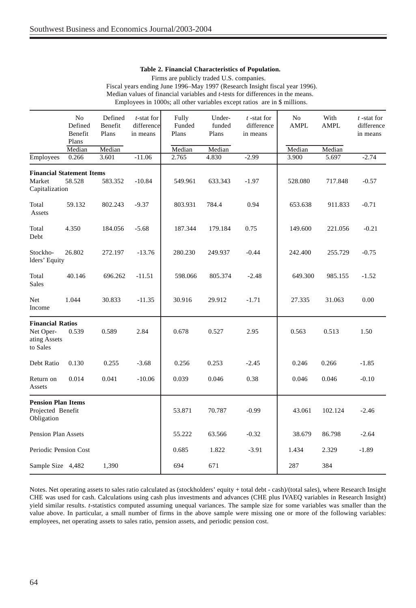#### **Table 2. Financial Characteristics of Population.**

 Firms are publicly traded U.S. companies. Fiscal years ending June 1996–May 1997 (Research Insight fiscal year 1996). Median values of financial variables and *t*-tests for differences in the means.

Employees in 1000s; all other variables except ratios are in \$ millions.

|                                                                  | No<br>Defined<br>Benefit<br>Plans | Defined<br>Benefit<br>Plans | t-stat for<br>differencel<br>in means | Fully<br>Funded<br>Plans | Under-<br>funded<br>Plans | $t$ -stat for<br>difference<br>in means | N <sub>o</sub><br>AMPL | With<br>AMPL | $t$ -stat for<br>difference<br>in means |
|------------------------------------------------------------------|-----------------------------------|-----------------------------|---------------------------------------|--------------------------|---------------------------|-----------------------------------------|------------------------|--------------|-----------------------------------------|
|                                                                  | Median                            | Median                      |                                       | Median                   | Median                    |                                         | Median                 | Median       |                                         |
| Employees                                                        | 0.266                             | 3.601                       | $-11.06$                              | 2.765                    | 4.830                     | $-2.99$                                 | 3.900                  | 5.697        | $-2.74$                                 |
| <b>Financial Statement Items</b><br>Market<br>Capitalization     | 58.528                            | 583.352                     | $-10.84$                              | 549.961                  | 633.343                   | $-1.97$                                 | 528.080                | 717.848      | $-0.57$                                 |
| Total<br>Assets                                                  | 59.132                            | 802.243                     | $-9.37$                               | 803.931                  | 784.4                     | 0.94                                    | 653.638                | 911.833      | $-0.71$                                 |
| Total<br>Debt                                                    | 4.350                             | 184.056                     | $-5.68$                               | 187.344                  | 179.184                   | 0.75                                    | 149.600                | 221.056      | $-0.21$                                 |
| Stockho-<br>lders' Equity                                        | 26.802                            | 272.197                     | $-13.76$                              | 280.230                  | 249.937                   | $-0.44$                                 | 242.400                | 255.729      | $-0.75$                                 |
| Total<br><b>Sales</b>                                            | 40.146                            | 696.262                     | $-11.51$                              | 598.066                  | 805.374                   | $-2.48$                                 | 649.300                | 985.155      | $-1.52$                                 |
| Net<br>Income                                                    | 1.044                             | 30.833                      | $-11.35$                              | 30.916                   | 29.912                    | $-1.71$                                 | 27.335                 | 31.063       | 0.00                                    |
| <b>Financial Ratios</b><br>Net Oper-<br>ating Assets<br>to Sales | 0.539                             | 0.589                       | 2.84                                  | 0.678                    | 0.527                     | 2.95                                    | 0.563                  | 0.513        | 1.50                                    |
| Debt Ratio                                                       | 0.130                             | 0.255                       | $-3.68$                               | 0.256                    | 0.253                     | $-2.45$                                 | 0.246                  | 0.266        | $-1.85$                                 |
| Return on<br>Assets                                              | 0.014                             | 0.041                       | $-10.06$                              | 0.039                    | 0.046                     | 0.38                                    | 0.046                  | 0.046        | $-0.10$                                 |
| <b>Pension Plan Items</b><br>Projected Benefit<br>Obligation     |                                   |                             |                                       | 53.871                   | 70.787                    | $-0.99$                                 | 43.061                 | 102.124      | $-2.46$                                 |
| <b>Pension Plan Assets</b>                                       |                                   |                             |                                       | 55.222                   | 63.566                    | $-0.32$                                 | 38.679                 | 86.798       | $-2.64$                                 |
| Periodic Pension Cost                                            |                                   |                             |                                       | 0.685                    | 1.822                     | $-3.91$                                 | 1.434                  | 2.329        | $-1.89$                                 |
| Sample Size 4,482                                                |                                   | 1,390                       |                                       | 694                      | 671                       |                                         | 287                    | 384          |                                         |

Notes. Net operating assets to sales ratio calculated as (stockholders' equity + total debt - cash)/(total sales), where Research Insight CHE was used for cash. Calculations using cash plus investments and advances (CHE plus IVAEQ variables in Research Insight) yield similar results. *t*-statistics computed assuming unequal variances. The sample size for some variables was smaller than the value above. In particular, a small number of firms in the above sample were missing one or more of the following variables: employees, net operating assets to sales ratio, pension assets, and periodic pension cost.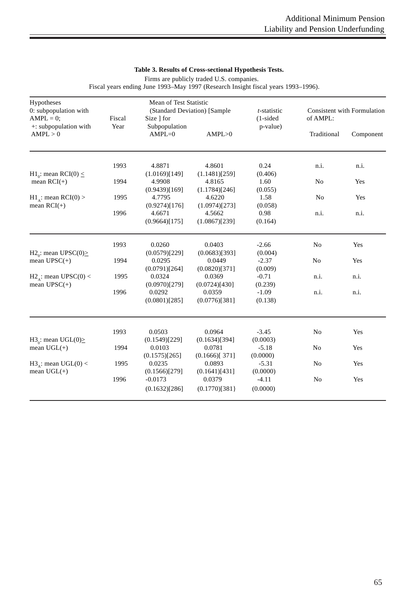### **Table 3. Results of Cross-sectional Hypothesis Tests.**

Firms are publicly traded U.S. companies.

Fiscal years ending June 1993–May 1997 (Research Insight fiscal years 1993–1996).

| Hypotheses<br>0: subpopulation with<br>$AMPL = 0$ ;           | Fiscal | Mean of Test Statistic<br>Size ] for     | (Standard Deviation) [Sample                 | t-statistic<br>$(1-sided)$      | <b>Consistent with Formulation</b><br>of AMPL: |           |  |
|---------------------------------------------------------------|--------|------------------------------------------|----------------------------------------------|---------------------------------|------------------------------------------------|-----------|--|
| $\pm$ : subpopulation with<br>AMPL > 0                        | Year   | Subpopulation<br>$AMPL=0$                | AMPL>0                                       | p-value)                        | Traditional                                    | Component |  |
|                                                               | 1993   | 4.8871                                   | 4.8601                                       | 0.24                            | n.i.                                           | n.i.      |  |
| H <sub>1</sub> : mean RCI(0) $\leq$<br>mean $RCI(+)$          | 1994   | (1.0169)[149]<br>4.9908<br>(0.9439)[169] | (1.1481)[259]<br>4.8165<br>(1.1784)[246]     | (0.406)<br>1.60<br>(0.055)      | No                                             | Yes       |  |
| $H1_A$ : mean RCI(0) ><br>mean $RCI(+)$                       | 1995   | 4.7795<br>(0.9274)[176]                  | 4.6220<br>(1.0974)[273]                      | 1.58<br>(0.058)                 | No                                             | Yes       |  |
|                                                               | 1996   | 4.6671<br>(0.9664)[175]                  | 4.5662<br>(1.0867)[239]                      | 0.98<br>(0.164)                 | n.i.                                           | n.i.      |  |
|                                                               | 1993   | 0.0260                                   | 0.0403                                       | $-2.66$                         | No                                             | Yes       |  |
| H <sub>2</sub> . mean UPSC(0) $\geq$<br>mean $UPSC(+)$        | 1994   | (0.0579)[229]<br>0.0295<br>(0.0791)[264] | (0.0683)[393]<br>0.0449<br>(0.0820)[371]     | (0.004)<br>$-2.37$<br>(0.009)   | No                                             | Yes       |  |
| $H2_{\text{A}}$ : mean UPSC(0) <<br>mean $UPSC(+)$            | 1995   | 0.0324<br>(0.0970)[279]                  | 0.0369<br>(0.0724)[430]                      | $-0.71$<br>(0.239)              | n.i.                                           | n.i.      |  |
|                                                               | 1996   | 0.0292<br>(0.0801)[285]                  | 0.0359<br>(0.0776)[381]                      | $-1.09$<br>(0.138)              | n.i.                                           | n.i.      |  |
|                                                               | 1993   | 0.0503                                   | 0.0964                                       | $-3.45$                         | No                                             | Yes       |  |
| H3.: mean UGL $(0)$<br>mean $UGL(+)$                          | 1994   | (0.1549)[229]<br>0.0103<br>(0.1575)[265] | (0.1634)[394]<br>0.0781<br>$(0.1666)$ [ 371] | (0.0003)<br>$-5.18$<br>(0.0000) | No                                             | Yes       |  |
| $H3_{\scriptscriptstyle{A}}$ : mean UGL(0) <<br>mean $UGL(+)$ | 1995   | 0.0235<br>(0.1566)[279]                  | 0.0893<br>(0.1641)[431]                      | $-5.31$<br>(0.0000)             | No                                             | Yes       |  |
|                                                               | 1996   | $-0.0173$<br>(0.1632)[286]               | 0.0379<br>(0.1770)[381]                      | $-4.11$<br>(0.0000)             | No                                             | Yes       |  |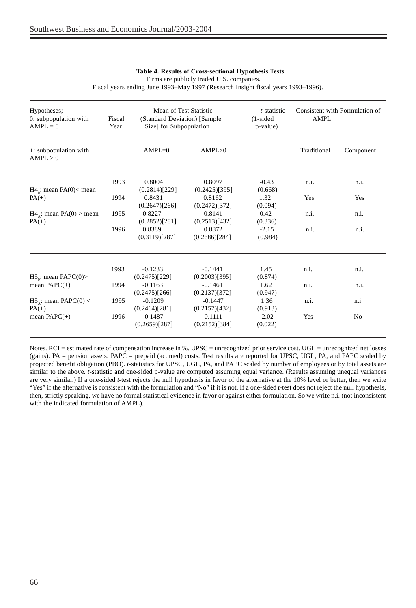#### **Table 4. Results of Cross-sectional Hypothesis Tests**.

Firms are publicly traded U.S. companies.

Fiscal years ending June 1993–May 1997 (Research Insight fiscal years 1993–1996).

| Hypotheses;<br>0: subpopulation with<br>$AMPL = 0$ | Fiscal<br>Year | Mean of Test Statistic<br>(Standard Deviation) [Sample<br>Size] for Subpopulation |                                          | <i>t</i> -statistic<br>$(1-sided)$<br>p-value) | Consistent with Formulation of<br>AMPL: |                |  |
|----------------------------------------------------|----------------|-----------------------------------------------------------------------------------|------------------------------------------|------------------------------------------------|-----------------------------------------|----------------|--|
| $\pm$ : subpopulation with<br>AMPL > 0             |                | $AMPL=0$                                                                          | AMPL>0                                   |                                                | Traditional                             | Component      |  |
|                                                    | 1993           | 0.8004                                                                            | 0.8097                                   | $-0.43$                                        | n.i.                                    | n.i.           |  |
| $H4_0$ : mean PA(0)  s mean<br>$PA(+)$             | 1994           | (0.2814)[229]<br>0.8431<br>(0.2647)[266]                                          | (0.2425)[395]<br>0.8162<br>(0.2472)[372] | (0.668)<br>1.32<br>(0.094)                     | Yes                                     | Yes            |  |
| $H4_{\lambda}$ : mean PA(0) > mean<br>$PA(+)$      | 1995           | 0.8227<br>(0.2852)[281]                                                           | 0.8141<br>(0.2513)[432]                  | 0.42<br>(0.336)                                | n.i.                                    | n.i.           |  |
|                                                    | 1996           | 0.8389<br>(0.3119)[287]                                                           | 0.8872<br>(0.2686)[284]                  | $-2.15$<br>(0.984)                             | n.i.                                    | n.i.           |  |
|                                                    |                |                                                                                   |                                          |                                                |                                         |                |  |
| H5.: mean PAPC $(0)$                               | 1993           | $-0.1233$<br>(0.2475)[229]                                                        | $-0.1441$<br>$(0.2003)$ [395]            | 1.45<br>(0.874)                                | n.i.                                    | n.i.           |  |
| mean $PAPC(+)$                                     | 1994           | $-0.1163$<br>$(0.2475)$ [266]                                                     | $-0.1461$<br>$(0.2137)$ [372]            | 1.62<br>(0.947)                                | n.i.                                    | n.i.           |  |
| $H5_A$ : mean PAPC(0) <<br>$PA(+)$                 | 1995           | $-0.1209$<br>(0.2464)[281]                                                        | $-0.1447$<br>(0.2157)[432]               | 1.36<br>(0.913)                                | n.i.                                    | n.i.           |  |
| mean $PAPC(+)$                                     | 1996           | $-0.1487$<br>$(0.2659)$ [287]                                                     | $-0.1111$<br>(0.2152)[384]               | $-2.02$<br>(0.022)                             | Yes                                     | N <sub>0</sub> |  |

Notes. RCI = estimated rate of compensation increase in %. UPSC = unrecognized prior service cost. UGL = unrecognized net losses (gains). PA = pension assets. PAPC = prepaid (accrued) costs. Test results are reported for UPSC, UGL, PA, and PAPC scaled by projected benefit obligation (PBO). *t*-statistics for UPSC, UGL, PA, and PAPC scaled by number of employees or by total assets are similar to the above. *t*-statistic and one-sided p-value are computed assuming equal variance. (Results assuming unequal variances are very similar.) If a one-sided *t*-test rejects the null hypothesis in favor of the alternative at the 10% level or better, then we write "Yes" if the alternative is consistent with the formulation and "No" if it is not. If a one-sided *t*-test does not reject the null hypothesis, then, strictly speaking, we have no formal statistical evidence in favor or against either formulation. So we write n.i. (not inconsistent with the indicated formulation of AMPL).